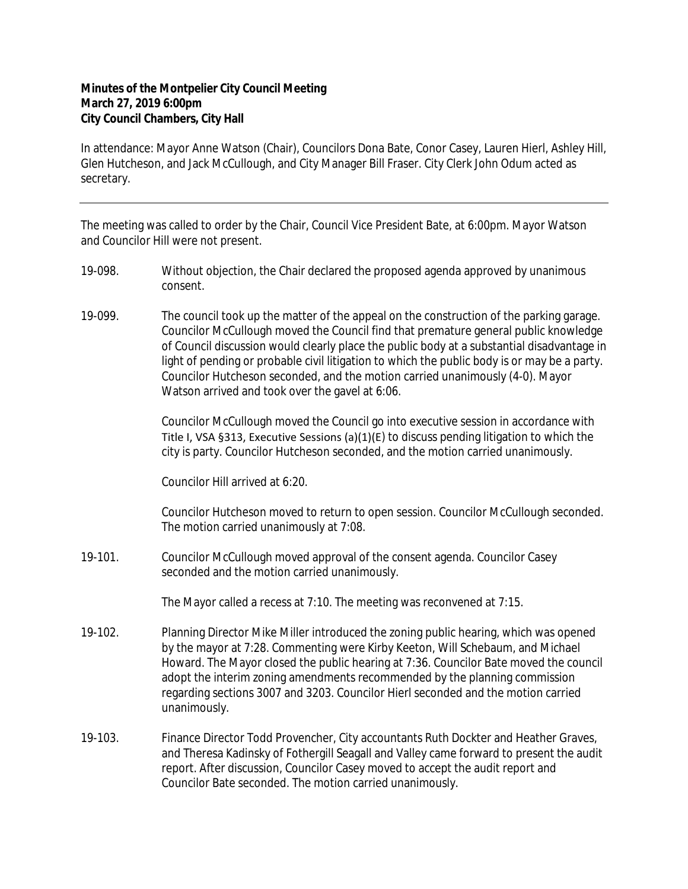## **Minutes of the Montpelier City Council Meeting March 27, 2019 6:00pm City Council Chambers, City Hall**

In attendance: Mayor Anne Watson (Chair), Councilors Dona Bate, Conor Casey, Lauren Hierl, Ashley Hill, Glen Hutcheson, and Jack McCullough, and City Manager Bill Fraser. City Clerk John Odum acted as secretary.

The meeting was called to order by the Chair, Council Vice President Bate, at 6:00pm. Mayor Watson and Councilor Hill were not present.

- 19-098. Without objection, the Chair declared the proposed agenda approved by unanimous consent.
- 19-099. The council took up the matter of the appeal on the construction of the parking garage. Councilor McCullough moved the Council find that premature general public knowledge of Council discussion would clearly place the public body at a substantial disadvantage in light of pending or probable civil litigation to which the public body is or may be a party. Councilor Hutcheson seconded, and the motion carried unanimously (4-0). Mayor Watson arrived and took over the gavel at 6:06.

Councilor McCullough moved the Council go into executive session in accordance with Title I, VSA §313, Executive Sessions (a)(1)(E) to discuss pending litigation to which the city is party. Councilor Hutcheson seconded, and the motion carried unanimously.

Councilor Hill arrived at 6:20.

Councilor Hutcheson moved to return to open session. Councilor McCullough seconded. The motion carried unanimously at 7:08.

19-101. Councilor McCullough moved approval of the consent agenda. Councilor Casey seconded and the motion carried unanimously.

The Mayor called a recess at 7:10. The meeting was reconvened at 7:15.

- 19-102. Planning Director Mike Miller introduced the zoning public hearing, which was opened by the mayor at 7:28. Commenting were Kirby Keeton, Will Schebaum, and Michael Howard. The Mayor closed the public hearing at 7:36. Councilor Bate moved the council adopt the interim zoning amendments recommended by the planning commission regarding sections 3007 and 3203. Councilor Hierl seconded and the motion carried unanimously.
- 19-103. Finance Director Todd Provencher, City accountants Ruth Dockter and Heather Graves, and Theresa Kadinsky of Fothergill Seagall and Valley came forward to present the audit report. After discussion, Councilor Casey moved to accept the audit report and Councilor Bate seconded. The motion carried unanimously.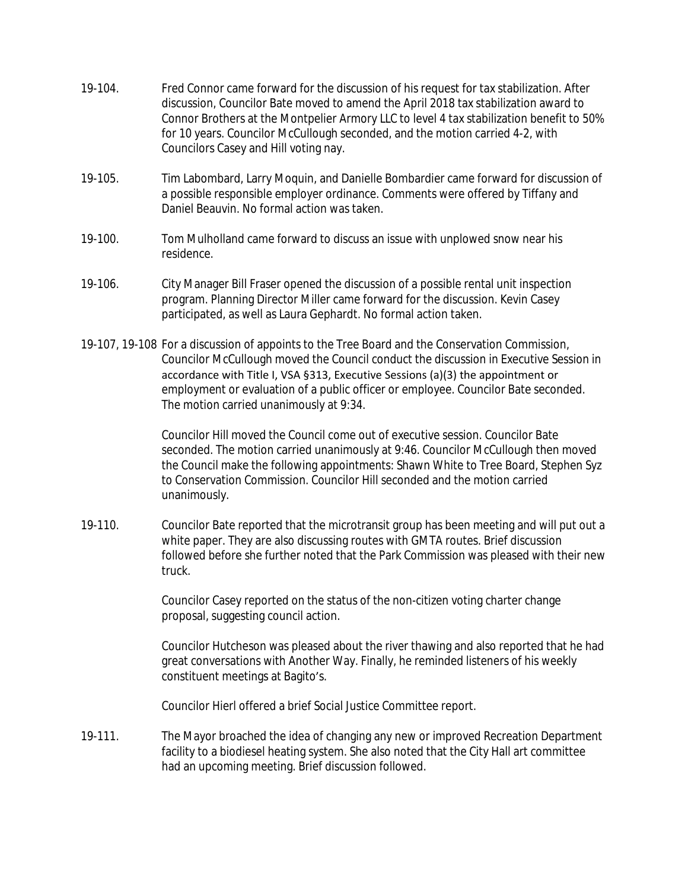- 19-104. Fred Connor came forward for the discussion of his request for tax stabilization. After discussion, Councilor Bate moved to amend the April 2018 tax stabilization award to Connor Brothers at the Montpelier Armory LLC to level 4 tax stabilization benefit to 50% for 10 years. Councilor McCullough seconded, and the motion carried 4-2, with Councilors Casey and Hill voting nay.
- 19-105. Tim Labombard, Larry Moquin, and Danielle Bombardier came forward for discussion of a possible responsible employer ordinance. Comments were offered by Tiffany and Daniel Beauvin. No formal action was taken.
- 19-100. Tom Mulholland came forward to discuss an issue with unplowed snow near his residence.
- 19-106. City Manager Bill Fraser opened the discussion of a possible rental unit inspection program. Planning Director Miller came forward for the discussion. Kevin Casey participated, as well as Laura Gephardt. No formal action taken.
- 19-107, 19-108 For a discussion of appoints to the Tree Board and the Conservation Commission, Councilor McCullough moved the Council conduct the discussion in Executive Session in accordance with Title I, VSA §313, Executive Sessions (a)(3) the appointment or employment or evaluation of a public officer or employee. Councilor Bate seconded. The motion carried unanimously at 9:34.

Councilor Hill moved the Council come out of executive session. Councilor Bate seconded. The motion carried unanimously at 9:46. Councilor McCullough then moved the Council make the following appointments: Shawn White to Tree Board, Stephen Syz to Conservation Commission. Councilor Hill seconded and the motion carried unanimously.

19-110. Councilor Bate reported that the microtransit group has been meeting and will put out a white paper. They are also discussing routes with GMTA routes. Brief discussion followed before she further noted that the Park Commission was pleased with their new truck.

> Councilor Casey reported on the status of the non-citizen voting charter change proposal, suggesting council action.

Councilor Hutcheson was pleased about the river thawing and also reported that he had great conversations with Another Way. Finally, he reminded listeners of his weekly constituent meetings at Bagito's.

Councilor Hierl offered a brief Social Justice Committee report.

19-111. The Mayor broached the idea of changing any new or improved Recreation Department facility to a biodiesel heating system. She also noted that the City Hall art committee had an upcoming meeting. Brief discussion followed.